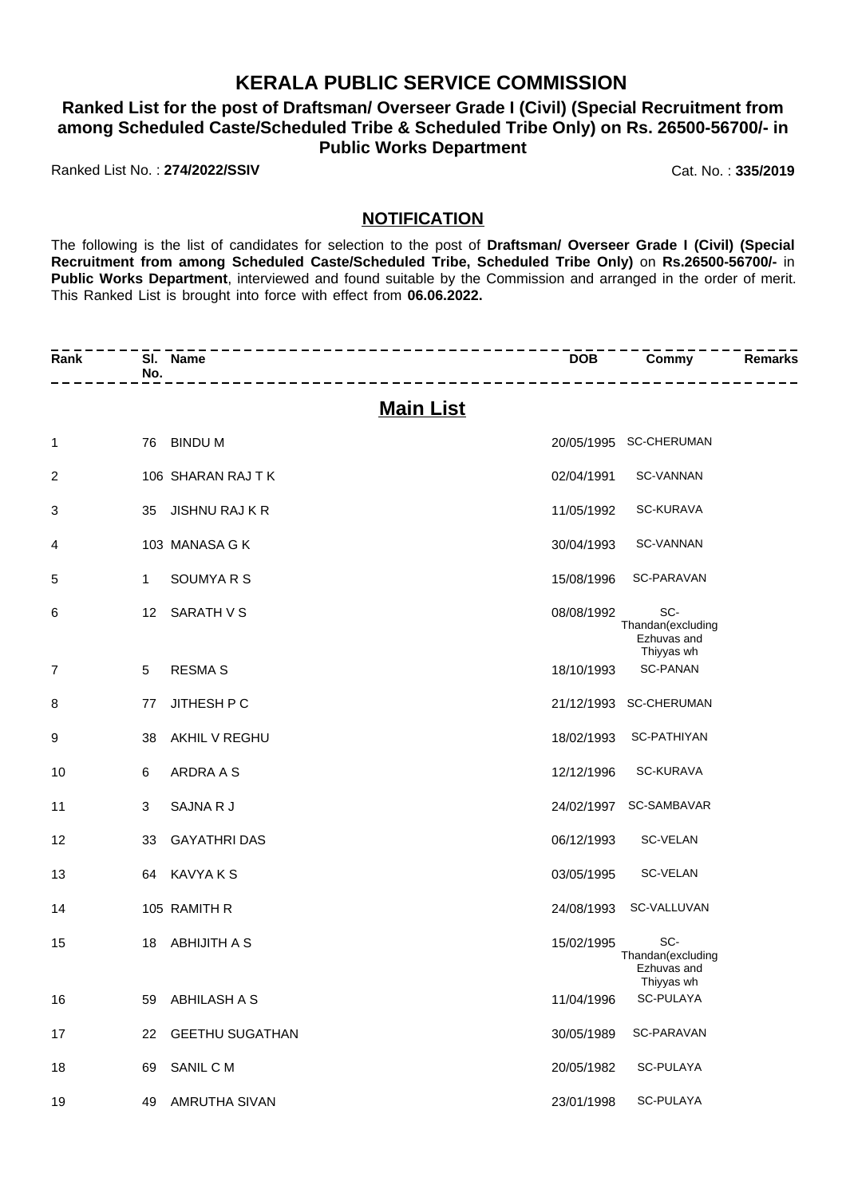# **KERALA PUBLIC SERVICE COMMISSION**

# **Ranked List for the post of Draftsman/ Overseer Grade I (Civil) (Special Recruitment from among Scheduled Caste/Scheduled Tribe & Scheduled Tribe Only) on Rs. 26500-56700/- in Public Works Department**

Ranked List No. : **274/2022/SSIV** Cat. No. : **335/2019**

## **NOTIFICATION**

The following is the list of candidates for selection to the post of **Draftsman/ Overseer Grade I (Civil) (Special Recruitment from among Scheduled Caste/Scheduled Tribe, Scheduled Tribe Only)** on **Rs.26500-56700/-** in **Public Works Department**, interviewed and found suitable by the Commission and arranged in the order of merit. This Ranked List is brought into force with effect from **06.06.2022.**

| Rank           | SI. Name<br>No.<br>________________ | <b>DOB</b> | Commy                                                 | <b>Remarks</b> |
|----------------|-------------------------------------|------------|-------------------------------------------------------|----------------|
|                | <b>Main List</b>                    |            |                                                       |                |
| 1              | 76 BINDU M                          |            | 20/05/1995 SC-CHERUMAN                                |                |
| $\overline{c}$ | 106 SHARAN RAJTK                    | 02/04/1991 | SC-VANNAN                                             |                |
| 3              | 35 JISHNU RAJ K R                   | 11/05/1992 | SC-KURAVA                                             |                |
| 4              | 103 MANASA G K                      | 30/04/1993 | SC-VANNAN                                             |                |
| 5              | SOUMYARS<br>1                       | 15/08/1996 | SC-PARAVAN                                            |                |
| 6              | 12 SARATH V S                       | 08/08/1992 | SC-<br>Thandan(excluding<br>Ezhuvas and<br>Thiyyas wh |                |
| 7              | <b>RESMAS</b><br>5                  | 18/10/1993 | <b>SC-PANAN</b>                                       |                |
| 8              | JITHESH P C<br>77                   |            | 21/12/1993 SC-CHERUMAN                                |                |
| 9              | AKHIL V REGHU<br>38                 | 18/02/1993 | <b>SC-PATHIYAN</b>                                    |                |
| 10             | ARDRA A S<br>6                      | 12/12/1996 | <b>SC-KURAVA</b>                                      |                |
| 11             | SAJNA R J<br>3                      |            | 24/02/1997 SC-SAMBAVAR                                |                |
| 12             | <b>GAYATHRI DAS</b><br>33           | 06/12/1993 | SC-VELAN                                              |                |
| 13             | 64 KAVYAKS                          | 03/05/1995 | SC-VELAN                                              |                |
| 14             | 105 RAMITH R                        | 24/08/1993 | SC-VALLUVAN                                           |                |
| 15             | 18 ABHIJITH A S                     | 15/02/1995 | SC-<br>Thandan(excluding<br>Ezhuvas and<br>Thiyyas wh |                |
| 16             | 59 ABHILASH A S                     | 11/04/1996 | SC-PULAYA                                             |                |
| 17             | 22 GEETHU SUGATHAN                  | 30/05/1989 | SC-PARAVAN                                            |                |
| 18             | SANIL C M<br>69                     | 20/05/1982 | SC-PULAYA                                             |                |
| 19             | <b>AMRUTHA SIVAN</b><br>49          | 23/01/1998 | SC-PULAYA                                             |                |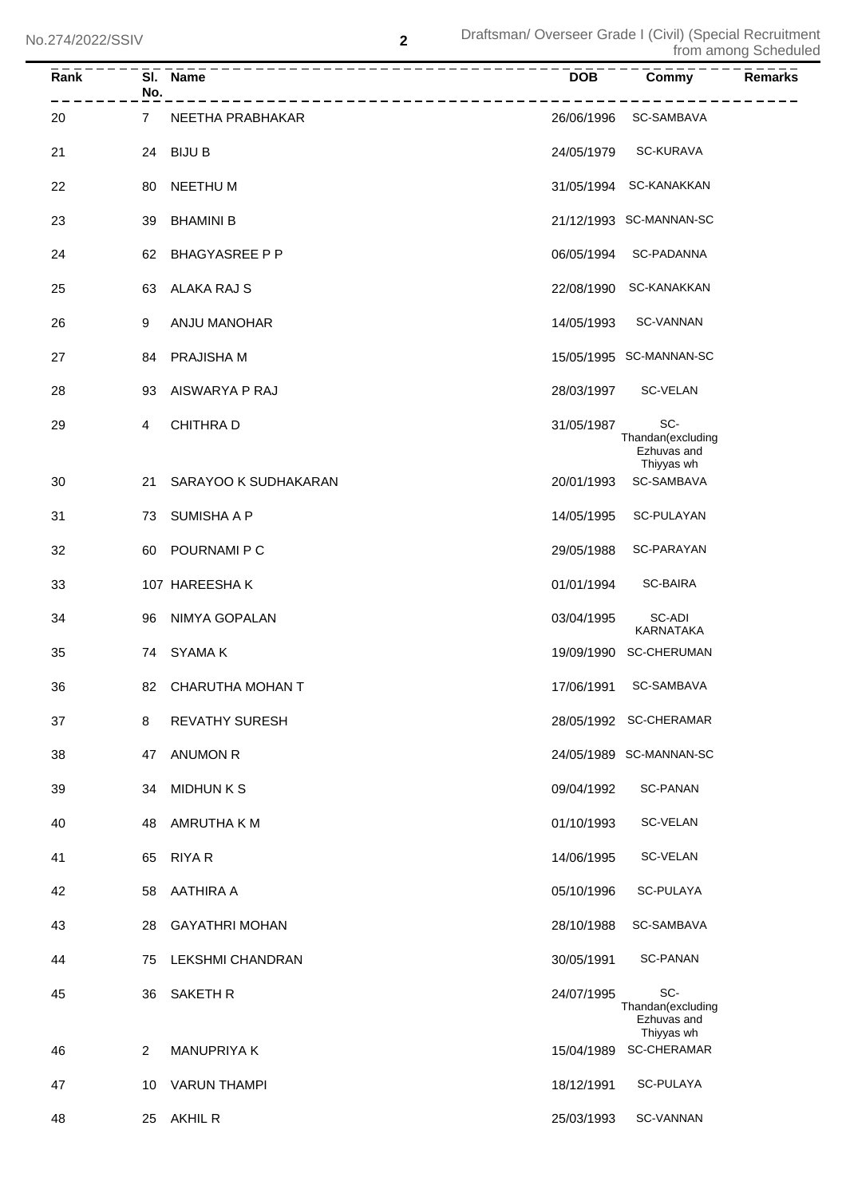| $\bar{R}$ ank | No.            | SI. Name              | <b>DOB</b> | Commy                                                 | <b>Remarks</b> |
|---------------|----------------|-----------------------|------------|-------------------------------------------------------|----------------|
| 20            | $\overline{7}$ | NEETHA PRABHAKAR      | 26/06/1996 | SC-SAMBAVA                                            |                |
| 21            | 24             | <b>BIJU B</b>         | 24/05/1979 | SC-KURAVA                                             |                |
| 22            | 80             | NEETHU M              | 31/05/1994 | SC-KANAKKAN                                           |                |
| 23            | 39             | <b>BHAMINI B</b>      |            | 21/12/1993 SC-MANNAN-SC                               |                |
| 24            | 62             | <b>BHAGYASREE P P</b> | 06/05/1994 | SC-PADANNA                                            |                |
| 25            | 63             | ALAKA RAJ S           | 22/08/1990 | SC-KANAKKAN                                           |                |
| 26            | 9              | ANJU MANOHAR          | 14/05/1993 | SC-VANNAN                                             |                |
| 27            | 84             | PRAJISHA M            |            | 15/05/1995 SC-MANNAN-SC                               |                |
| 28            | 93             | AISWARYA P RAJ        | 28/03/1997 | SC-VELAN                                              |                |
| 29            | 4              | <b>CHITHRAD</b>       | 31/05/1987 | SC-<br>Thandan(excluding<br>Ezhuvas and<br>Thiyyas wh |                |
| 30            | 21             | SARAYOO K SUDHAKARAN  | 20/01/1993 | SC-SAMBAVA                                            |                |
| 31            | 73             | SUMISHA A P           | 14/05/1995 | SC-PULAYAN                                            |                |
| 32            | 60             | POURNAMI P C          | 29/05/1988 | SC-PARAYAN                                            |                |
| 33            |                | 107 HAREESHAK         | 01/01/1994 | <b>SC-BAIRA</b>                                       |                |
| 34            | 96             | NIMYA GOPALAN         | 03/04/1995 | SC-ADI<br>KARNATAKA                                   |                |
| 35            |                | 74 SYAMA K            |            | 19/09/1990 SC-CHERUMAN                                |                |
| 36            |                | 82 CHARUTHA MOHAN T   | 17/06/1991 | SC-SAMBAVA                                            |                |
| 37            | 8              | <b>REVATHY SURESH</b> |            | 28/05/1992 SC-CHERAMAR                                |                |
| 38            | 47             | <b>ANUMON R</b>       |            | 24/05/1989 SC-MANNAN-SC                               |                |
| 39            | 34             | <b>MIDHUNKS</b>       | 09/04/1992 | <b>SC-PANAN</b>                                       |                |
| 40            | 48             | AMRUTHA K M           | 01/10/1993 | SC-VELAN                                              |                |
| 41            | 65             | RIYA R                | 14/06/1995 | SC-VELAN                                              |                |
| 42            | 58             | AATHIRA A             | 05/10/1996 | SC-PULAYA                                             |                |
| 43            | 28             | <b>GAYATHRI MOHAN</b> | 28/10/1988 | SC-SAMBAVA                                            |                |
| 44            | 75             | LEKSHMI CHANDRAN      | 30/05/1991 | <b>SC-PANAN</b>                                       |                |
| 45            | 36             | <b>SAKETH R</b>       | 24/07/1995 | SC-<br>Thandan(excluding<br>Ezhuvas and<br>Thiyyas wh |                |
| 46            | 2              | <b>MANUPRIYA K</b>    | 15/04/1989 | <b>SC-CHERAMAR</b>                                    |                |
| 47            | 10             | VARUN THAMPI          | 18/12/1991 | SC-PULAYA                                             |                |
| 48            |                | 25 AKHIL R            | 25/03/1993 | SC-VANNAN                                             |                |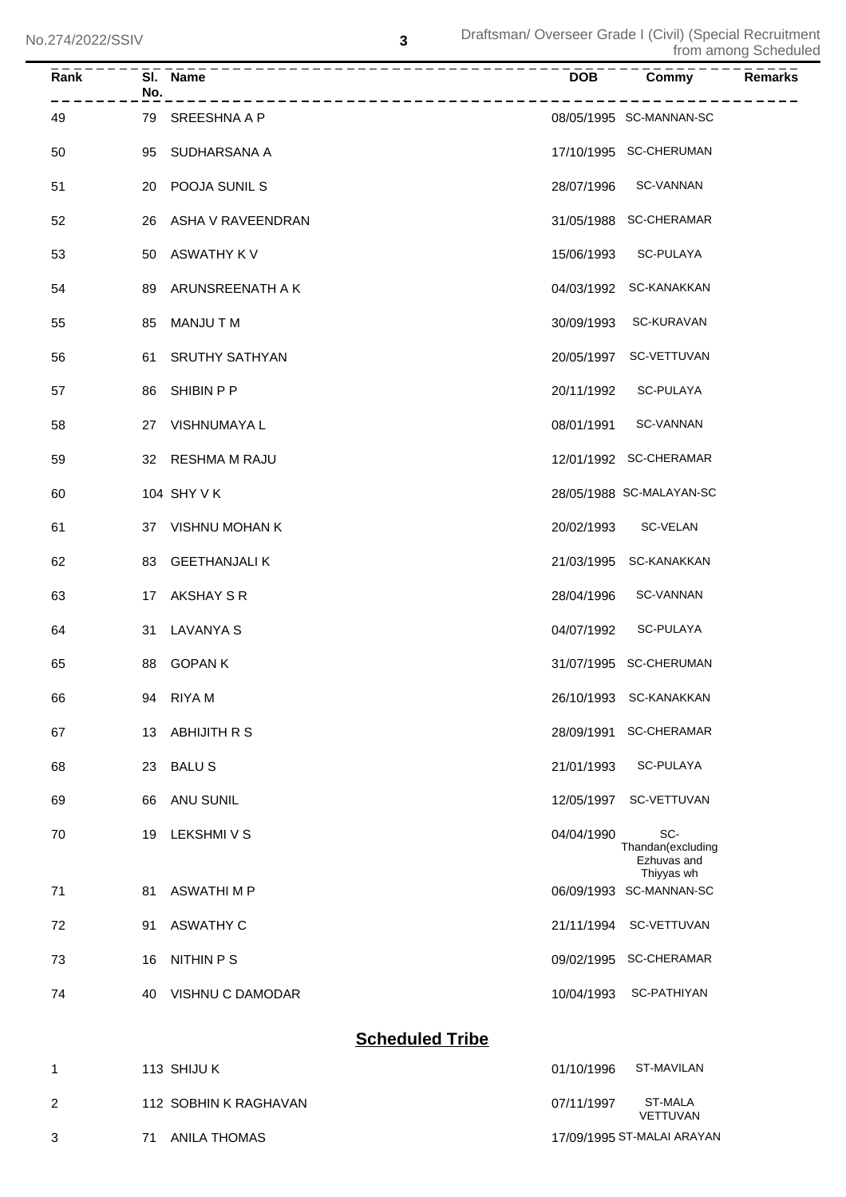| Rank | No. | SI. Name               | <b>DOB</b> | Commy<br><b>Remarks</b>                               |
|------|-----|------------------------|------------|-------------------------------------------------------|
| 49   |     | 79 SREESHNA A P        |            | 08/05/1995 SC-MANNAN-SC                               |
| 50   | 95  | SUDHARSANA A           |            | 17/10/1995 SC-CHERUMAN                                |
| 51   | 20  | POOJA SUNIL S          |            | 28/07/1996 SC-VANNAN                                  |
| 52   | 26  | ASHA V RAVEENDRAN      |            | 31/05/1988 SC-CHERAMAR                                |
| 53   | 50  | ASWATHY K V            | 15/06/1993 | SC-PULAYA                                             |
| 54   | 89  | ARUNSREENATH A K       |            | 04/03/1992 SC-KANAKKAN                                |
| 55   | 85  | MANJU T M              | 30/09/1993 | SC-KURAVAN                                            |
| 56   | 61  | <b>SRUTHY SATHYAN</b>  |            | 20/05/1997 SC-VETTUVAN                                |
| 57   | 86  | SHIBIN P P             | 20/11/1992 | SC-PULAYA                                             |
| 58   |     | 27 VISHNUMAYA L        | 08/01/1991 | SC-VANNAN                                             |
| 59   |     | 32 RESHMA M RAJU       |            | 12/01/1992 SC-CHERAMAR                                |
| 60   |     | 104 SHY V K            |            | 28/05/1988 SC-MALAYAN-SC                              |
| 61   |     | 37 VISHNU MOHAN K      | 20/02/1993 | SC-VELAN                                              |
| 62   | 83  | <b>GEETHANJALI K</b>   |            | 21/03/1995 SC-KANAKKAN                                |
| 63   |     | 17 AKSHAY S R          | 28/04/1996 | SC-VANNAN                                             |
| 64   | 31  | LAVANYA S              | 04/07/1992 | SC-PULAYA                                             |
| 65   | 88  | <b>GOPAN K</b>         |            | 31/07/1995 SC-CHERUMAN                                |
| 66   |     | 94 RIYAM               |            | 26/10/1993 SC-KANAKKAN                                |
| 67   | 13  | <b>ABHIJITH R S</b>    | 28/09/1991 | <b>SC-CHERAMAR</b>                                    |
| 68   | 23  | <b>BALUS</b>           | 21/01/1993 | SC-PULAYA                                             |
| 69   | 66  | ANU SUNIL              | 12/05/1997 | SC-VETTUVAN                                           |
| 70   | 19  | LEKSHMI V S            | 04/04/1990 | SC-<br>Thandan(excluding<br>Ezhuvas and<br>Thiyyas wh |
| 71   | 81  | <b>ASWATHIMP</b>       |            | 06/09/1993 SC-MANNAN-SC                               |
| 72   | 91  | <b>ASWATHY C</b>       | 21/11/1994 | SC-VETTUVAN                                           |
| 73   | 16  | <b>NITHIN PS</b>       |            | 09/02/1995 SC-CHERAMAR                                |
| 74   | 40  | VISHNU C DAMODAR       | 10/04/1993 | SC-PATHIYAN                                           |
|      |     | <b>Scheduled Tribe</b> |            |                                                       |
| 1    |     | 113 SHIJU K            | 01/10/1996 | ST-MAVILAN                                            |

| 112 SOBHIN K RAGHAVAN | 07/11/1997 | ST-MALA<br>VETTUVAN        |
|-----------------------|------------|----------------------------|
| 71 ANILA THOMAS       |            | 17/09/1995 ST-MALAI ARAYAN |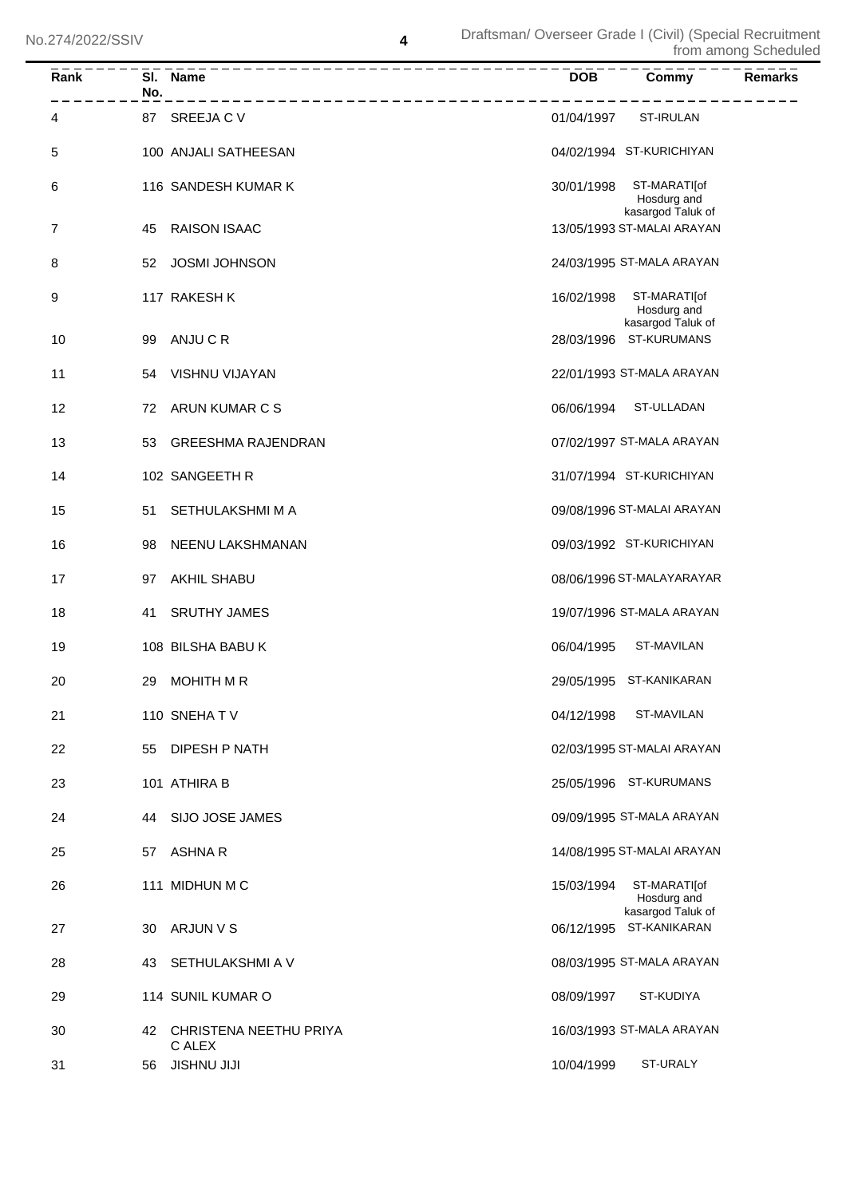| Rank | SI. Name<br>No.<br>____________________ | <b>DOB</b><br>Commy<br><b>Remarks</b>                          |
|------|-----------------------------------------|----------------------------------------------------------------|
| 4    | 87 SREEJA C V                           | 01/04/1997<br>ST-IRULAN                                        |
| 5    | 100 ANJALI SATHEESAN                    | 04/02/1994 ST-KURICHIYAN                                       |
| 6    | 116 SANDESH KUMAR K                     | 30/01/1998<br>ST-MARATI[of<br>Hosdurg and<br>kasargod Taluk of |
| 7    | <b>RAISON ISAAC</b><br>45               | 13/05/1993 ST-MALAI ARAYAN                                     |
| 8    | <b>JOSMI JOHNSON</b><br>52              | 24/03/1995 ST-MALA ARAYAN                                      |
| 9    | 117 RAKESH K                            | ST-MARATI[of<br>16/02/1998<br>Hosdurg and                      |
| 10   | ANJU C R<br>99                          | kasargod Taluk of<br>28/03/1996 ST-KURUMANS                    |
| 11   | VISHNU VIJAYAN<br>54                    | 22/01/1993 ST-MALA ARAYAN                                      |
| 12   | ARUN KUMAR C S<br>72                    | 06/06/1994<br>ST-ULLADAN                                       |
| 13   | GREESHMA RAJENDRAN<br>53                | 07/02/1997 ST-MALA ARAYAN                                      |
| 14   | 102 SANGEETH R                          | 31/07/1994 ST-KURICHIYAN                                       |
| 15   | SETHULAKSHMI M A<br>51                  | 09/08/1996 ST-MALAI ARAYAN                                     |
| 16   | NEENU LAKSHMANAN<br>98                  | 09/03/1992 ST-KURICHIYAN                                       |
| 17   | AKHIL SHABU<br>97                       | 08/06/1996 ST-MALAYARAYAR                                      |
| 18   | <b>SRUTHY JAMES</b><br>41               | 19/07/1996 ST-MALA ARAYAN                                      |
| 19   | 108 BILSHA BABU K                       | ST-MAVILAN<br>06/04/1995                                       |
| 20   | <b>MOHITH M R</b><br>29                 | 29/05/1995 ST-KANIKARAN                                        |
| 21   | 110 SNEHATV                             | <b>ST-MAVILAN</b><br>04/12/1998                                |
| 22   | DIPESH P NATH<br>55                     | 02/03/1995 ST-MALAI ARAYAN                                     |
| 23   | 101 ATHIRA B                            | 25/05/1996 ST-KURUMANS                                         |
| 24   | SIJO JOSE JAMES<br>44                   | 09/09/1995 ST-MALA ARAYAN                                      |
| 25   | ASHNA R<br>57                           | 14/08/1995 ST-MALAI ARAYAN                                     |
| 26   | 111 MIDHUN M C                          | ST-MARATI[of<br>15/03/1994<br>Hosdurg and<br>kasargod Taluk of |
| 27   | ARJUN V S<br>30                         | 06/12/1995 ST-KANIKARAN                                        |
| 28   | SETHULAKSHMI A V<br>43                  | 08/03/1995 ST-MALA ARAYAN                                      |
| 29   | 114 SUNIL KUMAR O                       | ST-KUDIYA<br>08/09/1997                                        |
| 30   | 42 CHRISTENA NEETHU PRIYA<br>C ALEX     | 16/03/1993 ST-MALA ARAYAN                                      |
| 31   | <b>JISHNU JIJI</b><br>56                | ST-URALY<br>10/04/1999                                         |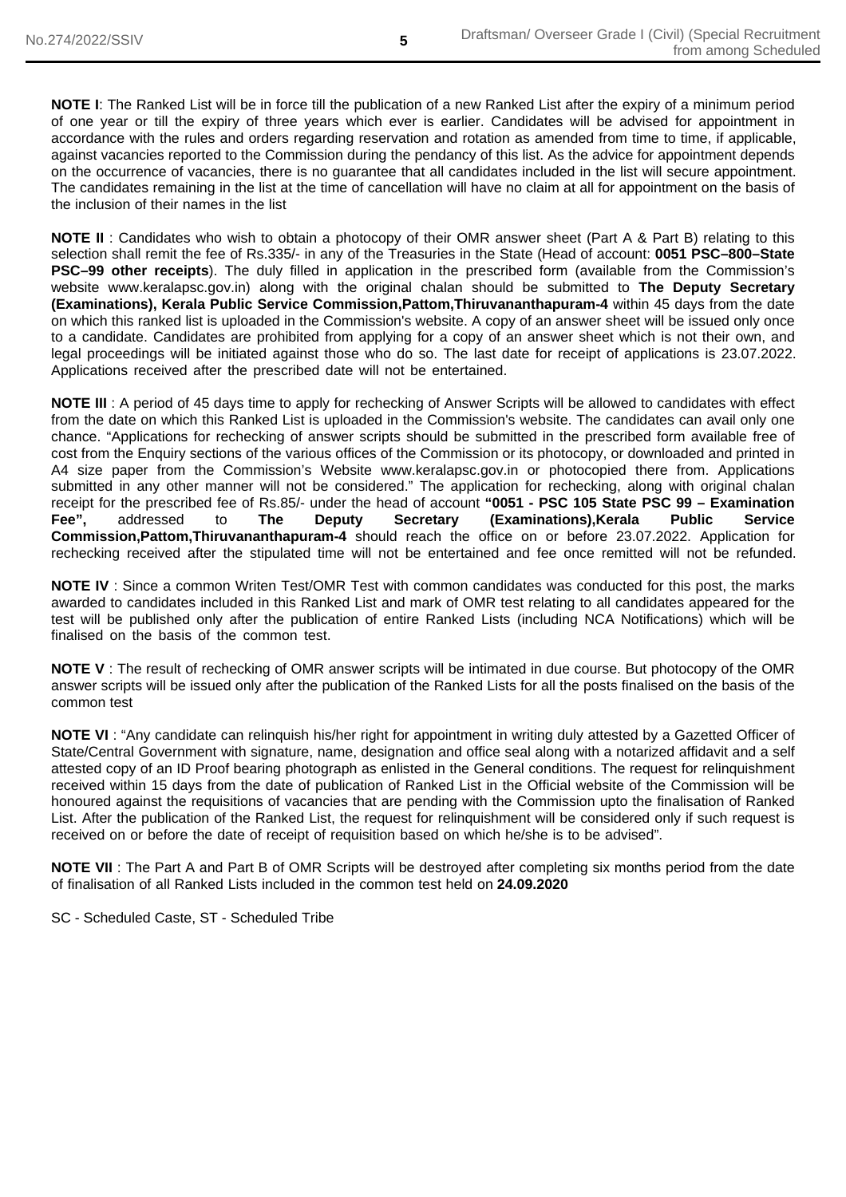**NOTE I**: The Ranked List will be in force till the publication of a new Ranked List after the expiry of a minimum period of one year or till the expiry of three years which ever is earlier. Candidates will be advised for appointment in accordance with the rules and orders regarding reservation and rotation as amended from time to time, if applicable, against vacancies reported to the Commission during the pendancy of this list. As the advice for appointment depends on the occurrence of vacancies, there is no guarantee that all candidates included in the list will secure appointment. The candidates remaining in the list at the time of cancellation will have no claim at all for appointment on the basis of the inclusion of their names in the list

**NOTE II** : Candidates who wish to obtain a photocopy of their OMR answer sheet (Part A & Part B) relating to this selection shall remit the fee of Rs.335/- in any of the Treasuries in the State (Head of account: **0051 PSC–800–State PSC–99 other receipts**). The duly filled in application in the prescribed form (available from the Commission's website www.keralapsc.gov.in) along with the original chalan should be submitted to **The Deputy Secretary (Examinations), Kerala Public Service Commission,Pattom,Thiruvananthapuram-4** within 45 days from the date on which this ranked list is uploaded in the Commission's website. A copy of an answer sheet will be issued only once to a candidate. Candidates are prohibited from applying for a copy of an answer sheet which is not their own, and legal proceedings will be initiated against those who do so. The last date for receipt of applications is 23.07.2022. Applications received after the prescribed date will not be entertained.

**NOTE III** : A period of 45 days time to apply for rechecking of Answer Scripts will be allowed to candidates with effect from the date on which this Ranked List is uploaded in the Commission's website. The candidates can avail only one chance. "Applications for rechecking of answer scripts should be submitted in the prescribed form available free of cost from the Enquiry sections of the various offices of the Commission or its photocopy, or downloaded and printed in A4 size paper from the Commission's Website www.keralapsc.gov.in or photocopied there from. Applications submitted in any other manner will not be considered." The application for rechecking, along with original chalan receipt for the prescribed fee of Rs.85/- under the head of account **"0051 - PSC 105 State PSC 99 – Examination Fee",** addressed to **The Deputy Secretary (Examinations),Kerala Public Service Commission,Pattom,Thiruvananthapuram-4** should reach the office on or before 23.07.2022. Application for rechecking received after the stipulated time will not be entertained and fee once remitted will not be refunded.

**NOTE IV** : Since a common Writen Test/OMR Test with common candidates was conducted for this post, the marks awarded to candidates included in this Ranked List and mark of OMR test relating to all candidates appeared for the test will be published only after the publication of entire Ranked Lists (including NCA Notifications) which will be finalised on the basis of the common test.

**NOTE V** : The result of rechecking of OMR answer scripts will be intimated in due course. But photocopy of the OMR answer scripts will be issued only after the publication of the Ranked Lists for all the posts finalised on the basis of the common test

**NOTE VI** : "Any candidate can relinquish his/her right for appointment in writing duly attested by a Gazetted Officer of State/Central Government with signature, name, designation and office seal along with a notarized affidavit and a self attested copy of an ID Proof bearing photograph as enlisted in the General conditions. The request for relinquishment received within 15 days from the date of publication of Ranked List in the Official website of the Commission will be honoured against the requisitions of vacancies that are pending with the Commission upto the finalisation of Ranked List. After the publication of the Ranked List, the request for relinquishment will be considered only if such request is received on or before the date of receipt of requisition based on which he/she is to be advised".

**NOTE VII** : The Part A and Part B of OMR Scripts will be destroyed after completing six months period from the date of finalisation of all Ranked Lists included in the common test held on **24.09.2020**

SC - Scheduled Caste, ST - Scheduled Tribe